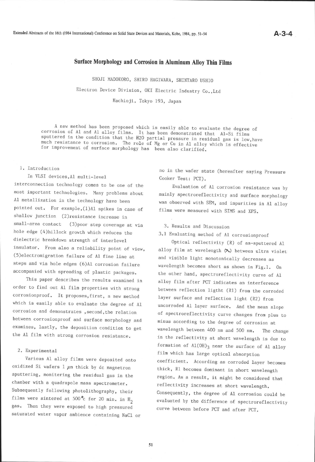# Surface Morphology and Corrosion in Aluminum Alloy Thin Films

SHOJI MADOKORO, SHIRO HAGIWARA, SHINTARO USHIO

Electron Device Division, OKI Electric Industry Co., Ltd

Hachioji, Tokyo 193, Japan

A new method has been proposed which is easily able to evaluate the degree of<br>corrosion of Al and Al alloy films. It has been demonstrated that Al-Si films<br>sputtered in the condition that the H2O partial pressure in residu

#### 1. Introduction

## In VLSI devices,Al multi-1eve1

interconnection technology comes to be one of the most important technologies. Many problems about A1 metallization in the technology have been pointed out. For example, (1)A1 spikes in case of shallow junction (2)resistance increase in small-area contact (3) poor step coverage at via hole edge (4)hi1lock growth which reduces the dielectric breakdown strength of interlevel insulator. From also a reliability point of view, (5)electromlgration failure of A1 fine line ar steps and via hole edges (6)A1 corrosion failure accompanied with spreading of plastic packages.

This paper describes the results examined in order to find out A1 film properties with strong corrosionproof. It proposes, first, a new method which is easily able to evaluate the degree of Al corrosion and demonstrates, second, the relation between corrosionproof and surface morphology and examines, lastly, the deposition condition to get the Al film with strong corrosion resistance.

### 2. Experimental

Various A1 al1oy films were deposited onro oxidized Si wafers 1  $\mu$ m thick by dc magnetron sputtering, monitering the residual gas in the chamber with a quadrapole mass spectrometer. Subsequently following photolithography, their films were sintered at 500 $^{\circ}$ c for 20 min. in H<sub>2</sub> gas. Then they were exposed to high pressured saturated water vapor ambience containing NaC1 or no in the wafer state (hereafter saying Pressure Cooker Test: PCT).

Evaluation of A1 corrosion resistance was by mainly spectroreflectivity and surface morphology was observed with SEM, and impurities in A1 alloy films were measured with SIMS and XPS.

### 3. Results and Discussion

3.1 Evaluating method of A1 corrosionproof

Optical reflectivity (R) of as-sputtered Al alloy film at wavelength  $(\lambda)$  between ultra violet and visible light monotonically decreases as wavelength becomes short as shown in Fig.l. 0n the other hand, spectroreflectivity curve of Al al1oy film after PCT indicates an interference between reflection ligtht (Rl) from the corroded layer surface and reflection light (R2) from uncorroded 41 layer surface. And the mean slope of spectroreflectivity curve changes from plus to minus according to the degree of corrosion at wavelength between 400 nm and 500 nm. The change in the reflectivity at short wavelength is due to formation of  $A1(OH)_{3}$  near the surface of Al alloy film which has large optical absorption coefficient. According as corroded layer becomes thick, R1 becomes dominant in short wavelength region. As a result, it might be considered that reflectivity increases at short wavelength. Consequently, the degree of A1 corrosion could be evaluated by the difference of spectroreflectivity curve between before pCT and after pCT.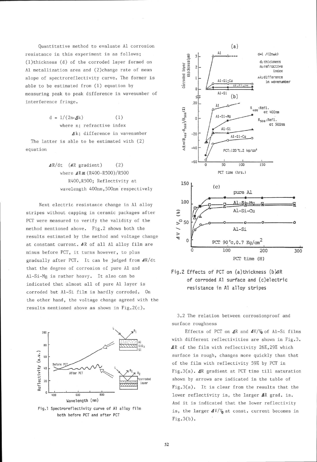Quantitative method to evaluate Al corrosion resistance in this experiment is as follows; (1)thickness (d) of the corroded layer formed on A1 metallization area and (2)change rate of mean slope of spectroreflectivity curve. The former is able to be estimated from (1) equation by measuring peak to peak difference in wavenumber of interference fringe.

> $d = 1/(2n \cdot A k)$  (1) where n; refractive index **△k**; difference in wavenumber

The latter is able to be estimated with (2) equation

> $\Delta R/dt$  ( $\Delta R$  gradient) (2) where  $\angle$  R = (R400-R500)/R500 R400,R500; Reflectivity at wavelength 400nm, 500nm respectively

Next electric resistance change in Al al1oy stripes without capping in ceramic packages after PCT were measured to verify the validity of the method mentioned above. Fig.2 shows both the results estimated by the method and voltage change at constant current. AR of all Al alloy film are minus before PCT, it turns however, to plus gradually after PCT. It can be judged from  $4R/dt$ that the degree of corrosion of pure A1 and Al-Si-Mg is rather heavy. It also can be indicated that almost all of pure Al layer is corroded but Al-Si film is hardly corroded. 0n the other hand, the voltage change agreed with the results mentioned above as shown in Fig.2(c).



Fig.1 Spectroreflectivity curve of Al alloy film both before PCT and after PCT





3.2 The relation between corrosionproof and surface roughness

Effects of PCT on  $\triangleleft R$  and  $\triangleleft V/V_0$  of Al-Si films with different reflectivities are shown in Fig.3.  $\Delta$ R of the film with reflectivity 26%,29% which surface is rough, changes more quickly than that of the fiLn with reflectivity 592 by PCT in Fig.3(a).  $\Delta$ R gradient at PCT time till saturation shown by arrows are indicated in the table of Fig.3(a). It is clear from the results that the lower reflectivity is, the larger  $\Delta R$  grad. is. And it is indicated that the lower reflectivity is, the larger  $\Delta V/V_0$  at const. current becomes in  $Fig.3(b).$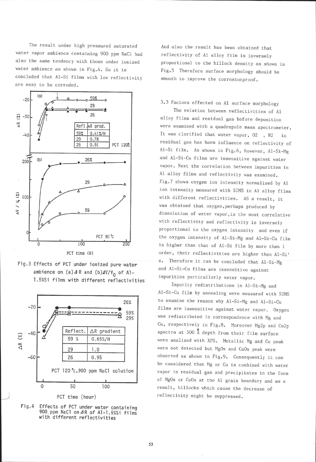The result under high pressured saturated water vapor ambience containing 900 ppm NaCl had aiso the same tendency with those under ionized water ambience as shown in Fig.4. So it is concluded that A1-Si films with 1ow reflectivity are easy to be corroded.



Fig.3 Effects of PCT under ionized pure water ambience on (a)  $\Delta$  R and (b) $\Delta$ V/V<sub>0</sub> of Al-1.5%Si films with different reflectivities



PCT time (hour)

Effects of PCT under water containing 900 ppm NaCl on 4R of Al-1.5%Si films<br>with different reflectivities Fis.4

And also the result has been obtained that reflectivity of A1 alloy film is inversely proportional to the hillock density as shown in Fig.5 Therefore surface morphology should be smooth to improve the corrosionproof.

3.3 Factors effected on 41 surface morphology

The relation between reflectivities of A1 alloy films and residual gas before deposition were examined with a quadrapole mass spectrometer. It was clarified that water vapor, 02, N2 in residual gas has harm influence on reflectivity of A1-Si film. As shown in Fig.6, however, A1-Si-Mg and A1-s1-cu films are insensitive against water vapor. Next the correlation between impurities in A1 alloy films and reflectivity was examined. Fig.7 shows oxygen ion intensity normalized by Al ion intensity measured with SIMS in A1 al1oy films with different reflectivities. AS a result, it was obtained that oxygen, perhaps produced by dissolution of water vapor, is the most correlative with reflectivity and reflectivity is inversely proportional to the oxygen intensity and even if the oxygen intensity of Al-Si-Mg and Al-Si-Cu film is higher than that of Al-Si film by more than 1 order, their reflectivities are higher than Al-Si' s. Therefore it can be concluded that Al-Si-Mg and Al-Si-Cu films are insensitive against impurities particullarly water vapor.

Impurity redistributions in Al-Si\_Mg and Al-Si-Cu film by annealing were measured with SIMS to examine the reason why Al-Si-Mg and Al-Si-Cu films are insensitive against water vapor. Oxygen was redistributed in correspondence with Mg and Cu, respectively in Fig.8. Moreover Mg2p and Cu2p spectra at 500  $\stackrel{6}{\Lambda}$  depth from their film surface were analized with XPS. Metallic Mg and Cu peak were not detected but MgOx and CuOx peak were observed as shown in Fig.9. Consequently it can be considered that Mg or Cu is combined with water vapor in residual gas and precipitates in the form of MgOx or CuOx at the A1 grain boundary and as <sup>a</sup> result, hillocks which cause the decrease of reflectivity might be suppressed.